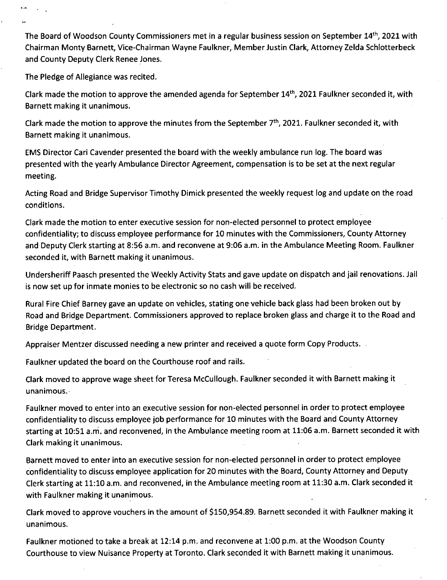The Board of Woodson County Commissioners met in a regular business session on September 14th, 2021 with Chairman Monty Barnett, Vice-Chairman Wayne Faulkner, Member Justin Clark, Attorney Zelda Schlotterbeck and County Deputy Clerk Renee Jones.

The Pledge of Allegiance was recited.

Clark made the motion to approve the amended agenda for September 14th, 2021 Faulkner seconded it, with Barnett making it unanimous.

Clark made the motion to approve the minutes from the September  $7<sup>th</sup>$ , 2021. Faulkner seconded it, with Barnett making it unanimous.

EMS Director Cari Cavender presented the board with the weekly ambulance run log. The board was presented with the yearly Ambulance Director Agreement, compensation is to be set at the next regular meeting.

Acting Road and Bridge Supervisor Timothy Dimick presented the weekly request log and update on the road conditions.

Clark made the motion to enter executive session for non-elected personnel to protect employee confidentiality; to discuss employee performance for 10 minutes with the Commissioners, County Attorney and Deputy Clerk starting at 8:56 a.m. and reconvene at 9:06 a.m. in the Ambulance Meeting Room. Faulkner seconded it, with Barnett making it unanimous.

Undersheriff Paasch presented the Weekly Activity Stats and gave update on dispatch and jail renovations. Jail is now set up for inmate monies to be electronic so no cash will be received.

Rural Fire Chief Barney gave an update on vehicles, stating one vehicle back glass had been broken out by Road and Bridge Department. Commissioners approved to replace broken glass and charge it to the Road and Bridge Department.

Appraiser Mentzer discussed needing a new printer and received a quote form Copy Products.

Faulkner updated the board on the Courthouse roof and rails.

Clark moved to approve wage sheet for Teresa McCullough. Faulkner seconded it with Barnett making it unanimous.

Faulkner moved to enter into an executive session for non-elected personnel in order to protect employee confidentiality to discuss employee job performance for 10 minutes with the Board and County Attorney starting at 10:51 a.m. and reconvened, in the Ambulance meeting room at 11:06 a.m. Barnett seconded it with Clark making it unanimous.

Barnett moved to enter into an executive session for non-elected personnel in order to protect employee confidentiality to discuss employee application for 20 minutes with the Board, County Attorney and Deputy Clerk starting at 11:10 a.m. and reconvened, in the Ambulance meeting room at 11:30 a.m. Clark seconded it with Faulkner making it unanimous.

Clark moved to approve vouchers in the amount of \$150,954.89. Barnett seconded it with Faulkner making it unanimous.

Faulkner motioned to take a break at 12:14 p.m. and reconvene at 1:00 p.m. at the Woodson County Courthouse to view Nuisance Property at Toronto. Clark seconded it with Barnett making it unanimous.